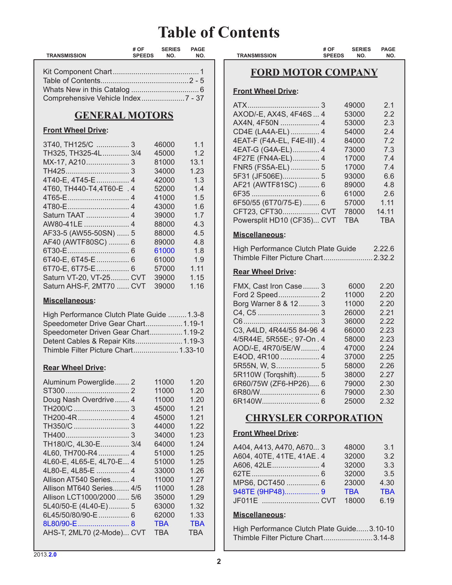| <b>TRANSMISSION</b>                                                               | # OF<br><b>SPEEDS</b> | <b>SERIES</b><br>NO. | <b>PAGE</b><br>NO. | <b>TRANSMISSION</b>                        | # OF<br><b>SPEEDS</b> | <b>SERIES</b><br>NO. | <b>PAGE</b><br>NO. |
|-----------------------------------------------------------------------------------|-----------------------|----------------------|--------------------|--------------------------------------------|-----------------------|----------------------|--------------------|
|                                                                                   |                       |                      |                    | <b>FORD MOTOR COMPANY</b>                  |                       |                      |                    |
|                                                                                   |                       |                      |                    | <b>Front Wheel Drive:</b>                  |                       |                      |                    |
| <b>GENERAL MOTORS</b>                                                             |                       |                      |                    | AXOD/-E, AX4S, 4F46S  4                    |                       | 49000<br>53000       | 2.1<br>2.2         |
|                                                                                   |                       |                      |                    | AX4N, 4F50N  4                             |                       | 53000                | 2.3                |
| <b>Front Wheel Drive:</b>                                                         |                       |                      |                    | CD4E (LA4A-EL)  4                          |                       | 54000                | 2.4                |
| 3T40, TH125/C  3                                                                  |                       | 46000                | 1.1                | 4EAT-F (F4A-EL, F4E-III). 4                |                       | 84000                | 7.2                |
| TH325, TH325-4L 3/4                                                               |                       | 45000                | 1.2                | 4EAT-G (G4A-EL) 4                          |                       | 73000                | 7.3                |
|                                                                                   |                       | 81000                | 13.1               | 4F27E (FN4A-EL) 4                          |                       | 17000                | 7.4                |
|                                                                                   |                       | 34000                | 1.23               | FNR5 (FS5A-EL)  5                          |                       | 17000                | 7.4                |
| 4T40-E, 4T45-E  4                                                                 |                       | 42000                | 1.3                | 5F31 (JF506E) 5                            |                       | 93000                | 6.6                |
| 4T60, TH440-T4, 4T60-E . 4                                                        |                       | 52000                | 1.4                | AF21 (AWTF81SC)  6                         |                       | 89000                | 4.8                |
|                                                                                   |                       | 41000                | 1.5                | 6F50/55 (6T70/75-E) 6                      |                       | 61000<br>57000       | 2.6<br>1.11        |
|                                                                                   |                       | 43000                | 1.6                |                                            |                       | 78000                | 14.11              |
| Saturn TAAT  4                                                                    |                       | 39000                | 1.7                | Powersplit HD10 (CF35) CVT                 |                       | <b>TBA</b>           | <b>TBA</b>         |
| AW80-41LE  4                                                                      |                       | 88000                | 4.3                |                                            |                       |                      |                    |
| AF33-5 (AW55-50SN)  5                                                             |                       | 88000                | 4.5                | Miscellaneous:                             |                       |                      |                    |
| AF40 (AWTF80SC)  6                                                                |                       | 89000                | 4.8                | High Performance Clutch Plate Guide        |                       |                      | 2.22.6             |
|                                                                                   |                       | 61000                | 1.8                | Thimble Filter Picture Chart 2.32.2        |                       |                      |                    |
| 6T40-E, 6T45-E  6                                                                 |                       | 61000                | 1.9                |                                            |                       |                      |                    |
| 6T70-E, 6T75-E  6                                                                 |                       | 57000                | 1.11<br>1.15       | <b>Rear Wheel Drive:</b>                   |                       |                      |                    |
| Saturn VT-20, VT-25 CVT<br>Saturn AHS-F, 2MT70  CVT                               |                       | 39000<br>39000       | 1.16               | FMX, Cast Iron Case 3                      |                       | 6000                 | 2.20               |
|                                                                                   |                       |                      |                    |                                            |                       | 11000                | 2.20               |
| Miscellaneous:                                                                    |                       |                      |                    | Borg Warner 8 & 12 3                       |                       | 11000                | 2.20               |
|                                                                                   |                       |                      |                    |                                            |                       | 26000                | 2.21               |
| High Performance Clutch Plate Guide  1.3-8<br>Speedometer Drive Gear Chart 1.19-1 |                       |                      |                    |                                            |                       | 36000                | 2.22               |
| Speedometer Driven Gear Chart 1.19-2                                              |                       |                      |                    | C3, A4LD, 4R44/55 84-96 4                  |                       | 66000                | 2.23               |
| Detent Cables & Repair Kits 1.19-3                                                |                       |                      |                    | 4/5R44E, 5R55E-; 97-On. 4                  |                       | 58000                | 2.23               |
| Thimble Filter Picture Chart 1.33-10                                              |                       |                      |                    | AOD/-E, 4R70/5E/W 4                        |                       | 47000                | 2.24               |
|                                                                                   |                       |                      |                    | E4OD, 4R100  4                             |                       | 37000                | 2.25               |
| <b>Rear Wheel Drive:</b>                                                          |                       |                      |                    | 5R55N, W, S 5                              |                       | 58000                | 2.26               |
|                                                                                   |                       |                      |                    | 5R110W (Torqshift) 5                       |                       | 38000                | 2.27               |
| Aluminum Powerglide 2                                                             |                       | 11000                | 1.20               | 6R60/75W (ZF6-HP26) 6                      |                       | 79000                | 2.30               |
|                                                                                   |                       | 11000                | 1.20               |                                            |                       | 79000                | 2.30               |
| Doug Nash Overdrive  4                                                            |                       | 11000                | 1.20               |                                            |                       | 25000                | 2.32               |
|                                                                                   |                       | 45000                | 1.21               |                                            |                       |                      |                    |
|                                                                                   |                       | 45000                | 1.21               | <b>CHRYSLER CORPORATION</b>                |                       |                      |                    |
|                                                                                   |                       | 44000                | 1.22               | <b>Front Wheel Drive:</b>                  |                       |                      |                    |
|                                                                                   |                       | 34000                | 1.23               |                                            |                       |                      |                    |
| TH180/C, 4L30-E 3/4                                                               |                       | 64000                | 1.24               | A404, A413, A470, A670 3                   |                       | 48000                | 3.1                |
| 4L60, TH700-R4  4                                                                 |                       | 51000                | 1.25               | A604, 40TE, 41TE, 41AE. 4                  |                       | 32000                | 3.2                |
| 4L60-E, 4L65-E, 4L70-E 4                                                          |                       | 51000                | 1.25               |                                            |                       | 32000                | 3.3                |
| 4L80-E, 4L85-E  4                                                                 |                       | 33000                | 1.26               |                                            |                       | 32000                | 3.5                |
| Allison AT540 Series 4                                                            |                       | 11000                | 1.27               | MPS6, DCT450  6                            |                       | 23000                | 4.30               |
| Allison MT640 Series 4/5                                                          |                       | 11000                | 1.28               | 948TE (9HP48) 9                            |                       | <b>TBA</b>           | <b>TBA</b>         |
| Allison LCT1000/2000  5/6                                                         |                       | 35000                | 1.29               | JF011E  CVT                                |                       | 18000                | 6.19               |
| 5L40/50-E (4L40-E) 5                                                              |                       | 63000                | 1.32               |                                            |                       |                      |                    |
| 6L45/50/80/90-E  6                                                                |                       | 62000                | 1.33               | Miscellaneous:                             |                       |                      |                    |
|                                                                                   |                       | <b>TBA</b>           | <b>TBA</b>         | High Performance Clutch Plate Guide3.10-10 |                       |                      |                    |
| AHS-T, 2ML70 (2-Mode) CVT                                                         |                       | <b>TBA</b>           | <b>TBA</b>         | Thimble Filter Picture Chart3.14-8         |                       |                      |                    |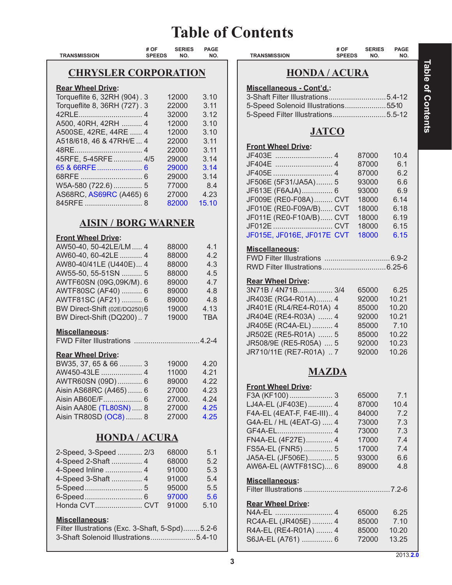| TRANSMISSION                                                                                                                                                                                                                                                                                                                                                                                                            | # OF<br><b>SPEEDS</b> | <b>SERIES</b><br>NO.                                                                                                        | PAGE<br>NO.                                                                                                 |
|-------------------------------------------------------------------------------------------------------------------------------------------------------------------------------------------------------------------------------------------------------------------------------------------------------------------------------------------------------------------------------------------------------------------------|-----------------------|-----------------------------------------------------------------------------------------------------------------------------|-------------------------------------------------------------------------------------------------------------|
| <b>CHRYSLER CORPORATION</b>                                                                                                                                                                                                                                                                                                                                                                                             |                       |                                                                                                                             |                                                                                                             |
| <b>Rear Wheel Drive:</b><br>Torqueflite 6, 32RH (904). 3<br>Torqueflite 8, 36RH (727). 3<br>A500, 40RH, 42RH  4<br>A500SE, 42RE, 44RE  4<br>A518/618, 46 & 47RH/E  4<br>45RFE, 5-45RFE 4/5<br>W5A-580 (722.6)  5<br>AS68RC, AS69RC (A465) 6                                                                                                                                                                             |                       | 12000<br>22000<br>32000<br>12000<br>12000<br>22000<br>22000<br>29000<br>29000<br>29000<br>77000<br>27000<br>82000           | 3.10<br>3.11<br>3.12<br>3.10<br>3.10<br>3.11<br>3.11<br>3.14<br>3.14<br>3.14<br>8.4<br>4.23<br>15.10        |
| <b>AISIN / BORG WARNER</b>                                                                                                                                                                                                                                                                                                                                                                                              |                       |                                                                                                                             |                                                                                                             |
| <b>Front Wheel Drive:</b><br>AW50-40, 50-42LE/LM  4<br>AW60-40, 60-42LE  4<br>AW80-40/41LE (U440E) 4<br>AW55-50, 55-51SN  5<br>AWTF60SN (09G,09K/M). 6<br>AWTF80SC (AF40)  6<br>AWTF81SC (AF21)  6<br>BW Direct-Shift (02E/DQ250)6<br>BW Direct-Shift (DQ200) 7<br>Miscellaneous:<br><b>Rear Wheel Drive:</b><br>BW35, 37, 65 & 66  3<br>AW450-43LE  4<br>AWTR60SN (09D)  6<br>Aisin AS68RC (A465) 6<br>Aisin AB60E/F 6 |                       | 88000<br>88000<br>88000<br>88000<br>89000<br>89000<br>89000<br>19000<br>19000<br>19000<br>11000<br>89000<br>27000<br>27000. | 4.1<br>4.2<br>4.3<br>4.5<br>4.7<br>4.8<br>4.8<br>4.13<br><b>TBA</b><br>4.20<br>4.21<br>4.22<br>4.23<br>4.24 |
| Aisin AA80E (TL80SN)  8<br>Aisin TR80SD (OC8)  8                                                                                                                                                                                                                                                                                                                                                                        |                       | 27000<br>27000                                                                                                              | 4.25<br>4.25                                                                                                |
| <b>HONDA/ACURA</b>                                                                                                                                                                                                                                                                                                                                                                                                      |                       |                                                                                                                             |                                                                                                             |
| 2-Speed, 3-Speed  2/3<br>4-Speed 2-Shaft  4<br>4-Speed Inline  4<br>4-Speed 3-Shaft  4<br>Honda CVT CVT<br>Miscellaneous:<br>Filter Illustrations (Exc. 3-Shaft, 5-Spd)5.2-6<br>3-Shaft Solenoid Illustrations5.4-10                                                                                                                                                                                                    |                       | 68000<br>68000<br>91000<br>91000<br>95000<br>97000<br>91000                                                                 | 5.1<br>5.2<br>5.3<br>5.4<br>5.5<br>5.6<br>5.10                                                              |
|                                                                                                                                                                                                                                                                                                                                                                                                                         |                       |                                                                                                                             |                                                                                                             |

| <b>TRANSMISSION</b>                                                                                                                                                                                                         | # OF<br><b>SPEEDS</b> | <b>SERIES</b><br>NO.                                                                   | <b>PAGE</b><br>NO.                                                       |
|-----------------------------------------------------------------------------------------------------------------------------------------------------------------------------------------------------------------------------|-----------------------|----------------------------------------------------------------------------------------|--------------------------------------------------------------------------|
| <b>HONDA/ACURA</b>                                                                                                                                                                                                          |                       |                                                                                        |                                                                          |
| Miscellaneous - Cont'd.:<br>3-Shaft Filter Illustrations5.4-12<br>5-Speed Solenoid Illustrations55-10<br>5-Speed Filter Illustrations5.5-12                                                                                 |                       |                                                                                        |                                                                          |
| <b>JATCO</b>                                                                                                                                                                                                                |                       |                                                                                        |                                                                          |
| <b>Front Wheel Drive:</b><br>JF506E (5F31/JA5A) 5<br>JF613E (F6AJA) 6<br>JF009E (RE0-F08A) CVT<br>JF010E (RE0-F09A/B) CVT<br>JF011E (RE0-F10A/B) CVT<br>JF015E, JF016E, JF017E CVT                                          |                       | 87000<br>87000<br>87000<br>93000<br>93000<br>18000<br>18000<br>18000<br>18000<br>18000 | 10.4<br>6.1<br>6.2<br>6.6<br>6.9<br>6.14<br>6.18<br>6.19<br>6.15<br>6.15 |
| Miscellaneous:                                                                                                                                                                                                              |                       |                                                                                        |                                                                          |
| <b>Rear Wheel Drive:</b><br>3N71B / 4N71B 3/4<br>JR403E (RG4-R01A) 4<br>JR401E (RL4/RE4-R01A) 4<br>JR404E (RE4-R03A)  4<br>JR405E (RC4A-EL)  4<br>JR502E (RE5-R01A)  5<br>JR508/9E (RE5-R05A)  5<br>JR710/11E (RE7-R01A)  7 |                       | 65000<br>92000<br>85000<br>92000<br>85000<br>85000<br>92000<br>92000                   | 6.25<br>10.21<br>10.20<br>10.21<br>7.10<br>10.22<br>10.23<br>10.26       |
| MAZDA                                                                                                                                                                                                                       |                       |                                                                                        |                                                                          |
| <b>Front Wheel Drive:</b><br>F3A (KF100)  3<br>LJ4A-EL (JF403E) 4<br>F4A-EL (4EAT-F, F4E-III) 4<br>G4A-EL / HL (4EAT-G)  4<br>FN4A-EL (4F27E) 4<br>FS5A-EL (FNR5)  5<br>JA5A-EL (JF506E) 5<br>AW6A-EL (AWTF81SC) 6          |                       | 65000<br>87000<br>84000<br>73000<br>73000<br>17000<br>17000<br>93000<br>89000          | 7.1<br>10.4<br>7.2<br>7.3<br>7.3<br>7.4<br>7.4<br>6.6<br>4.8             |
| <b>Miscellaneous:</b>                                                                                                                                                                                                       |                       |                                                                                        |                                                                          |
| <b>Rear Wheel Drive:</b><br>RC4A-EL (JR405E)  4<br>R4A-EL (RE4-R01A)  4<br>S6JA-EL (A761)  6                                                                                                                                |                       | 65000<br>85000<br>85000<br>72000                                                       | 6.25<br>7.10<br>10.20<br>13.25                                           |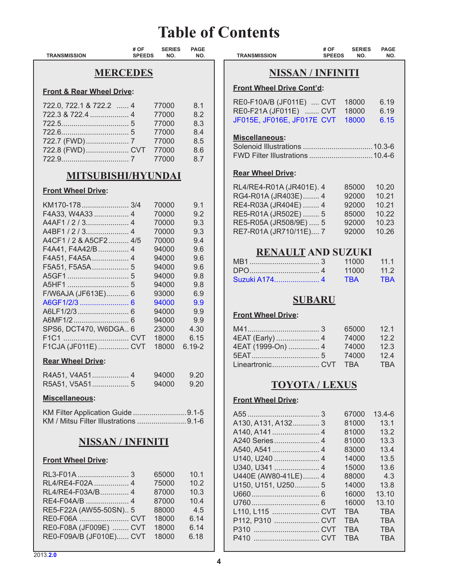| # OF<br><b>TRANSMISSION</b><br><b>SPEEDS</b> | <b>SERIES</b><br>NO. | <b>PAGE</b><br>NO. | <b>TRANSMISSION</b>                                | # OF<br><b>SPEEDS</b>  | <b>SERIES</b><br>NO. | <b>PAGE</b><br>NO. |
|----------------------------------------------|----------------------|--------------------|----------------------------------------------------|------------------------|----------------------|--------------------|
| <b>MERCEDES</b>                              |                      |                    |                                                    | <b>NISSAN/INFINITI</b> |                      |                    |
| <b>Front &amp; Rear Wheel Drive:</b>         |                      |                    | <b>Front Wheel Drive Cont'd:</b>                   |                        |                      |                    |
| 722.0, 722.1 & 722.2  4                      | 77000<br>77000       | 8.1<br>8.2         | RE0-F10A/B (JF011E)  CVT<br>RE0-F21A (JF011E)  CVT |                        | 18000<br>18000       | 6.19<br>6.19       |
|                                              | 77000<br>77000       | 8.3<br>8.4         | JF015E, JF016E, JF017E CVT                         |                        | 18000                | 6.15               |
| 722.7 (FWD) 7                                | 77000                | 8.5                | Miscellaneous:                                     |                        |                      |                    |
| 722.8 (FWD) CVT                              | 77000<br>77000       | 8.6<br>8.7         |                                                    |                        |                      |                    |
| MITSUBISHI/HYUNDAI                           |                      |                    | <b>Rear Wheel Drive:</b>                           |                        |                      |                    |
| <b>Front Wheel Drive:</b>                    |                      |                    | RL4/RE4-R01A (JR401E). 4                           |                        | 85000                | 10.20              |
|                                              |                      |                    | RG4-R01A (JR403E) 4                                |                        | 92000                | 10.21              |
|                                              | 70000                | 9.1                | RE4-R03A (JR404E)  4                               |                        | 92000                | 10.21              |
| F4A33, W4A33 4                               | 70000                | 9.2                | RE5-R01A (JR502E)  5                               |                        | 85000                | 10.22              |
|                                              | 70000                | 9.3                | RE5-R05A (JR508/9E)  5                             |                        | 92000                | 10.23              |
|                                              | 70000                | 9.3                | RE7-R01A (JR710/11E) 7                             |                        | 92000                | 10.26              |
| A4CF1 / 2 & A5CF2  4/5                       | 70000                | 9.4                |                                                    |                        |                      |                    |
| F4A41, F4A42/B  4                            | 94000                | 9.6                | <b>RENAULT AND SUZUKI</b>                          |                        |                      |                    |
| F4A51, F4A5A 4                               | 94000                | 9.6                |                                                    |                        | 11000                | 11.1               |
| F5A51, F5A5A 5                               | 94000                | 9.6                |                                                    |                        | 11000                | 11.2               |
|                                              | 94000                | 9.8                |                                                    |                        | <b>TBA</b>           | <b>TBA</b>         |
|                                              | 94000                | 9.8                |                                                    |                        |                      |                    |
| F/W6AJA (JF613E) 6                           | 93000                | 6.9                |                                                    |                        |                      |                    |
|                                              | 94000                | 9.9                |                                                    | <b>SUBARU</b>          |                      |                    |
|                                              | 94000                | 9.9                | <b>Front Wheel Drive:</b>                          |                        |                      |                    |
|                                              | 94000                | 9.9                |                                                    |                        |                      |                    |
| SPS6, DCT470, W6DGA 6                        | 23000                | 4.30               |                                                    |                        | 65000                | 12.1               |
|                                              | 18000                | 6.15               | 4EAT (Early)  4                                    |                        | 74000                | 12.2               |
| F1CJA (JF011E)  CVT                          | 18000                | $6.19 - 2$         | 4EAT (1999-On)  4                                  |                        | 74000                | 12.3               |
|                                              |                      |                    |                                                    |                        | 74000                | 12.4               |
| <b>Rear Wheel Drive:</b>                     |                      |                    |                                                    |                        | <b>TBA</b>           | <b>TBA</b>         |
|                                              | 94000                | 9.20<br>9.20       |                                                    | <b>TOYOTA/LEXUS</b>    |                      |                    |
| Miscellaneous:                               |                      |                    | <b>Front Wheel Drive:</b>                          |                        |                      |                    |
| KM Filter Application Guide 9.1-5            |                      |                    |                                                    |                        | 67000                | $13.4 - 6$         |
| KM / Mitsu Filter Illustrations 9.1-6        |                      |                    | A130, A131, A132 3                                 |                        | 81000                | 13.1               |
|                                              |                      |                    |                                                    |                        | 81000                | 13.2               |
|                                              |                      |                    | A240 Series 4                                      |                        |                      |                    |
| <b>NISSAN / INFINITI</b>                     |                      |                    |                                                    |                        | 81000                | 13.3               |
|                                              |                      |                    |                                                    |                        | 83000                | 13.4               |
| <b>Front Wheel Drive:</b>                    |                      |                    |                                                    |                        | 14000                | 13.5               |
|                                              | 65000                | 10.1               |                                                    |                        | 15000                | 13.6               |
| RL4/RE4-F02A  4                              | 75000                | 10.2               | U440E (AW80-41LE) 4                                |                        | 88000                | 4.3                |
| RL4/RE4-F03A/B 4                             | 87000                | 10.3               | U150, U151, U250 5                                 |                        | 14000                | 13.8               |
|                                              | 87000                | 10.4               |                                                    |                        | 16000                | 13.10              |
| RE5-F22A (AW55-50SN) 5                       | 88000                | 4.5                |                                                    |                        | 16000                | 13.10              |
|                                              |                      |                    | L110, L115  CVT                                    |                        | <b>TBA</b>           | <b>TBA</b>         |
|                                              | 18000                | 6.14               | P112, P310  CVT                                    |                        | <b>TBA</b>           | <b>TBA</b>         |
| RE0-F08A (JF009E)  CVT                       | 18000                | 6.14               |                                                    |                        | <b>TBA</b>           | <b>TBA</b>         |
| RE0-F09A/B (JF010E) CVT                      | 18000                | 6.18               |                                                    |                        | <b>TBA</b>           | <b>TBA</b>         |